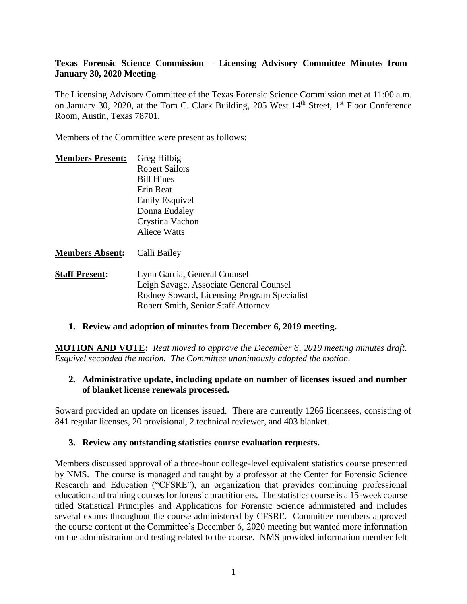### **Texas Forensic Science Commission – Licensing Advisory Committee Minutes from January 30, 2020 Meeting**

The Licensing Advisory Committee of the Texas Forensic Science Commission met at 11:00 a.m. on January 30, 2020, at the Tom C. Clark Building, 205 West 14<sup>th</sup> Street, 1<sup>st</sup> Floor Conference Room, Austin, Texas 78701.

Members of the Committee were present as follows:

| <b>Members Present:</b> | Greg Hilbig           |
|-------------------------|-----------------------|
|                         | <b>Robert Sailors</b> |
|                         | <b>Bill Hines</b>     |
|                         | Erin Reat             |
|                         | <b>Emily Esquivel</b> |
|                         | Donna Eudaley         |
|                         | Crystina Vachon       |
|                         | <b>Aliece Watts</b>   |
|                         |                       |

#### **Members Absent:** Calli Bailey

**Staff Present:** Lynn Garcia, General Counsel Leigh Savage, Associate General Counsel Rodney Soward, Licensing Program Specialist Robert Smith, Senior Staff Attorney

### **1. Review and adoption of minutes from December 6, 2019 meeting.**

**MOTION AND VOTE:** *Reat moved to approve the December 6, 2019 meeting minutes draft. Esquivel seconded the motion. The Committee unanimously adopted the motion.*

#### **2. Administrative update, including update on number of licenses issued and number of blanket license renewals processed.**

Soward provided an update on licenses issued. There are currently 1266 licensees, consisting of 841 regular licenses, 20 provisional, 2 technical reviewer, and 403 blanket.

#### **3. Review any outstanding statistics course evaluation requests.**

Members discussed approval of a three-hour college-level equivalent statistics course presented by NMS. The course is managed and taught by a professor at the Center for Forensic Science Research and Education ("CFSRE"), an organization that provides continuing professional education and training courses for forensic practitioners. The statistics course is a 15-week course titled Statistical Principles and Applications for Forensic Science administered and includes several exams throughout the course administered by CFSRE. Committee members approved the course content at the Committee's December 6, 2020 meeting but wanted more information on the administration and testing related to the course. NMS provided information member felt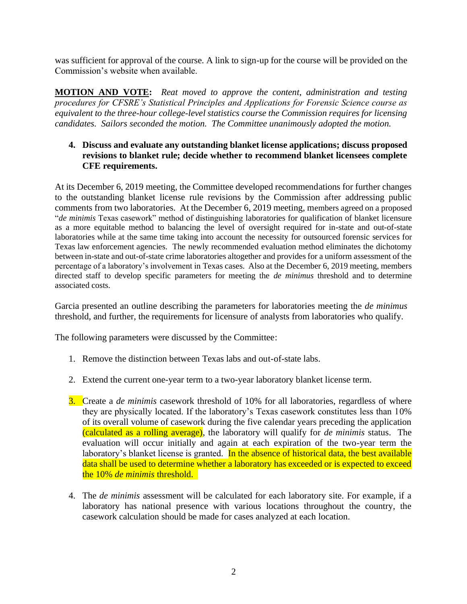was sufficient for approval of the course. A link to sign-up for the course will be provided on the Commission's website when available.

**MOTION AND VOTE:** *Reat moved to approve the content, administration and testing procedures for CFSRE's Statistical Principles and Applications for Forensic Science course as equivalent to the three-hour college-level statistics course the Commission requires for licensing candidates. Sailors seconded the motion. The Committee unanimously adopted the motion.*

### **4. Discuss and evaluate any outstanding blanket license applications; discuss proposed revisions to blanket rule; decide whether to recommend blanket licensees complete CFE requirements.**

At its December 6, 2019 meeting, the Committee developed recommendations for further changes to the outstanding blanket license rule revisions by the Commission after addressing public comments from two laboratories. At the December 6, 2019 meeting, members agreed on a proposed "*de minimis* Texas casework" method of distinguishing laboratories for qualification of blanket licensure as a more equitable method to balancing the level of oversight required for in-state and out-of-state laboratories while at the same time taking into account the necessity for outsourced forensic services for Texas law enforcement agencies. The newly recommended evaluation method eliminates the dichotomy between in-state and out-of-state crime laboratories altogether and provides for a uniform assessment of the percentage of a laboratory's involvement in Texas cases. Also at the December 6, 2019 meeting, members directed staff to develop specific parameters for meeting the *de minimus* threshold and to determine associated costs.

Garcia presented an outline describing the parameters for laboratories meeting the *de minimus*  threshold, and further, the requirements for licensure of analysts from laboratories who qualify.

The following parameters were discussed by the Committee:

- 1. Remove the distinction between Texas labs and out-of-state labs.
- 2. Extend the current one-year term to a two-year laboratory blanket license term.
- 3. Create a *de minimis* casework threshold of 10% for all laboratories, regardless of where they are physically located. If the laboratory's Texas casework constitutes less than 10% of its overall volume of casework during the five calendar years preceding the application (calculated as a rolling average), the laboratory will qualify for *de minimis* status. The evaluation will occur initially and again at each expiration of the two-year term the laboratory's blanket license is granted. In the absence of historical data, the best available data shall be used to determine whether a laboratory has exceeded or is expected to exceed the 10% *de minimis* threshold.
- 4. The *de minimis* assessment will be calculated for each laboratory site. For example, if a laboratory has national presence with various locations throughout the country, the casework calculation should be made for cases analyzed at each location.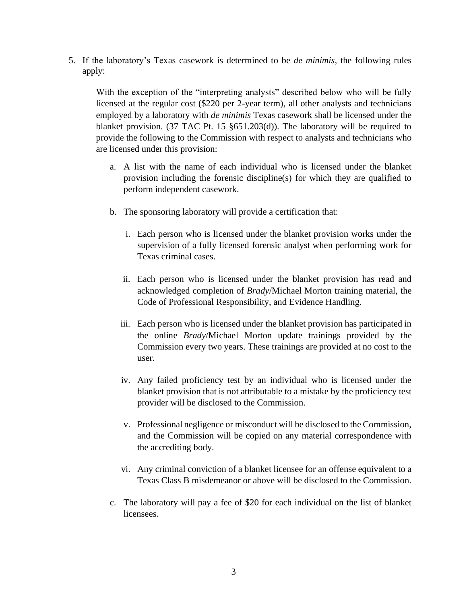5. If the laboratory's Texas casework is determined to be *de minimis,* the following rules apply:

With the exception of the "interpreting analysts" described below who will be fully licensed at the regular cost (\$220 per 2-year term), all other analysts and technicians employed by a laboratory with *de minimis* Texas casework shall be licensed under the blanket provision. (37 TAC Pt. 15 §651.203(d)). The laboratory will be required to provide the following to the Commission with respect to analysts and technicians who are licensed under this provision:

- a. A list with the name of each individual who is licensed under the blanket provision including the forensic discipline(s) for which they are qualified to perform independent casework.
- b. The sponsoring laboratory will provide a certification that:
	- i. Each person who is licensed under the blanket provision works under the supervision of a fully licensed forensic analyst when performing work for Texas criminal cases.
	- ii. Each person who is licensed under the blanket provision has read and acknowledged completion of *Brady*/Michael Morton training material, the Code of Professional Responsibility, and Evidence Handling.
	- iii. Each person who is licensed under the blanket provision has participated in the online *Brady*/Michael Morton update trainings provided by the Commission every two years. These trainings are provided at no cost to the user.
	- iv. Any failed proficiency test by an individual who is licensed under the blanket provision that is not attributable to a mistake by the proficiency test provider will be disclosed to the Commission.
	- v. Professional negligence or misconduct will be disclosed to the Commission, and the Commission will be copied on any material correspondence with the accrediting body.
	- vi. Any criminal conviction of a blanket licensee for an offense equivalent to a Texas Class B misdemeanor or above will be disclosed to the Commission.
- c. The laboratory will pay a fee of \$20 for each individual on the list of blanket licensees.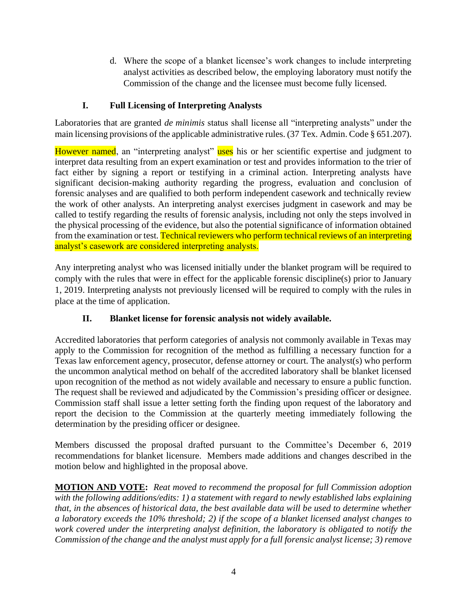d. Where the scope of a blanket licensee's work changes to include interpreting analyst activities as described below, the employing laboratory must notify the Commission of the change and the licensee must become fully licensed.

# **I. Full Licensing of Interpreting Analysts**

Laboratories that are granted *de minimis* status shall license all "interpreting analysts" under the main licensing provisions of the applicable administrative rules. (37 Tex. Admin. Code § 651.207).

However named, an "interpreting analyst" uses his or her scientific expertise and judgment to interpret data resulting from an expert examination or test and provides information to the trier of fact either by signing a report or testifying in a criminal action. Interpreting analysts have significant decision-making authority regarding the progress, evaluation and conclusion of forensic analyses and are qualified to both perform independent casework and technically review the work of other analysts. An interpreting analyst exercises judgment in casework and may be called to testify regarding the results of forensic analysis, including not only the steps involved in the physical processing of the evidence, but also the potential significance of information obtained from the examination or test. Technical reviewers who perform technical reviews of an interpreting analyst's casework are considered interpreting analysts.

Any interpreting analyst who was licensed initially under the blanket program will be required to comply with the rules that were in effect for the applicable forensic discipline(s) prior to January 1, 2019. Interpreting analysts not previously licensed will be required to comply with the rules in place at the time of application.

# **II. Blanket license for forensic analysis not widely available.**

Accredited laboratories that perform categories of analysis not commonly available in Texas may apply to the Commission for recognition of the method as fulfilling a necessary function for a Texas law enforcement agency, prosecutor, defense attorney or court. The analyst(s) who perform the uncommon analytical method on behalf of the accredited laboratory shall be blanket licensed upon recognition of the method as not widely available and necessary to ensure a public function. The request shall be reviewed and adjudicated by the Commission's presiding officer or designee. Commission staff shall issue a letter setting forth the finding upon request of the laboratory and report the decision to the Commission at the quarterly meeting immediately following the determination by the presiding officer or designee.

Members discussed the proposal drafted pursuant to the Committee's December 6, 2019 recommendations for blanket licensure. Members made additions and changes described in the motion below and highlighted in the proposal above.

**MOTION AND VOTE:** *Reat moved to recommend the proposal for full Commission adoption with the following additions/edits: 1) a statement with regard to newly established labs explaining that, in the absences of historical data, the best available data will be used to determine whether a laboratory exceeds the 10% threshold; 2) if the scope of a blanket licensed analyst changes to work covered under the interpreting analyst definition, the laboratory is obligated to notify the Commission of the change and the analyst must apply for a full forensic analyst license; 3) remove*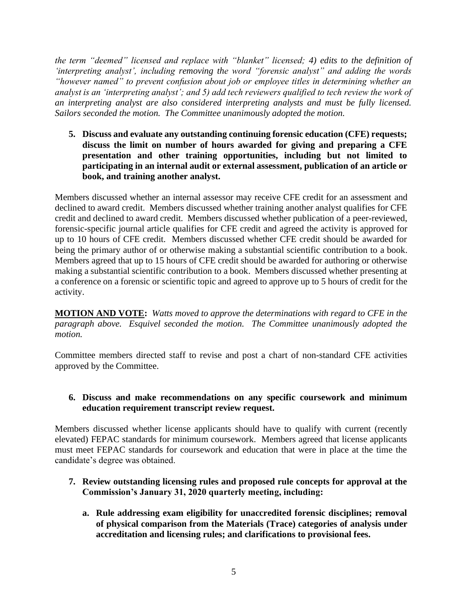*the term "deemed" licensed and replace with "blanket" licensed; 4) edits to the definition of 'interpreting analyst', including removing the word "forensic analyst" and adding the words "however named" to prevent confusion about job or employee titles in determining whether an analyst is an 'interpreting analyst'; and 5) add tech reviewers qualified to tech review the work of an interpreting analyst are also considered interpreting analysts and must be fully licensed. Sailors seconded the motion. The Committee unanimously adopted the motion.*

**5. Discuss and evaluate any outstanding continuing forensic education (CFE) requests; discuss the limit on number of hours awarded for giving and preparing a CFE presentation and other training opportunities, including but not limited to participating in an internal audit or external assessment, publication of an article or book, and training another analyst.**

Members discussed whether an internal assessor may receive CFE credit for an assessment and declined to award credit. Members discussed whether training another analyst qualifies for CFE credit and declined to award credit. Members discussed whether publication of a peer-reviewed, forensic-specific journal article qualifies for CFE credit and agreed the activity is approved for up to 10 hours of CFE credit. Members discussed whether CFE credit should be awarded for being the primary author of or otherwise making a substantial scientific contribution to a book. Members agreed that up to 15 hours of CFE credit should be awarded for authoring or otherwise making a substantial scientific contribution to a book. Members discussed whether presenting at a conference on a forensic or scientific topic and agreed to approve up to 5 hours of credit for the activity.

**MOTION AND VOTE:** *Watts moved to approve the determinations with regard to CFE in the paragraph above. Esquivel seconded the motion. The Committee unanimously adopted the motion.* 

Committee members directed staff to revise and post a chart of non-standard CFE activities approved by the Committee.

#### **6. Discuss and make recommendations on any specific coursework and minimum education requirement transcript review request.**

Members discussed whether license applicants should have to qualify with current (recently elevated) FEPAC standards for minimum coursework. Members agreed that license applicants must meet FEPAC standards for coursework and education that were in place at the time the candidate's degree was obtained.

- **7. Review outstanding licensing rules and proposed rule concepts for approval at the Commission's January 31, 2020 quarterly meeting, including:**
	- **a. Rule addressing exam eligibility for unaccredited forensic disciplines; removal of physical comparison from the Materials (Trace) categories of analysis under accreditation and licensing rules; and clarifications to provisional fees.**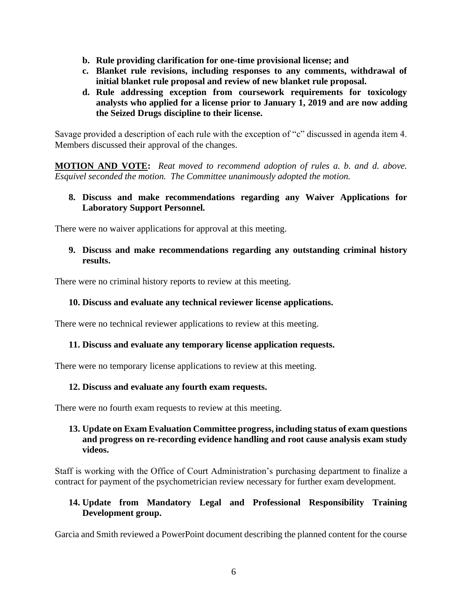- **b. Rule providing clarification for one-time provisional license; and**
- **c. Blanket rule revisions, including responses to any comments, withdrawal of initial blanket rule proposal and review of new blanket rule proposal.**
- **d. Rule addressing exception from coursework requirements for toxicology analysts who applied for a license prior to January 1, 2019 and are now adding the Seized Drugs discipline to their license.**

Savage provided a description of each rule with the exception of "c" discussed in agenda item 4. Members discussed their approval of the changes.

**MOTION AND VOTE:** *Reat moved to recommend adoption of rules a. b. and d. above. Esquivel seconded the motion. The Committee unanimously adopted the motion.*

### **8. Discuss and make recommendations regarding any Waiver Applications for Laboratory Support Personnel.**

There were no waiver applications for approval at this meeting.

#### **9. Discuss and make recommendations regarding any outstanding criminal history results.**

There were no criminal history reports to review at this meeting.

### **10. Discuss and evaluate any technical reviewer license applications.**

There were no technical reviewer applications to review at this meeting.

#### **11. Discuss and evaluate any temporary license application requests.**

There were no temporary license applications to review at this meeting.

#### **12. Discuss and evaluate any fourth exam requests.**

There were no fourth exam requests to review at this meeting.

### **13. Update on Exam Evaluation Committee progress, including status of exam questions and progress on re-recording evidence handling and root cause analysis exam study videos.**

Staff is working with the Office of Court Administration's purchasing department to finalize a contract for payment of the psychometrician review necessary for further exam development.

### **14. Update from Mandatory Legal and Professional Responsibility Training Development group.**

Garcia and Smith reviewed a PowerPoint document describing the planned content for the course